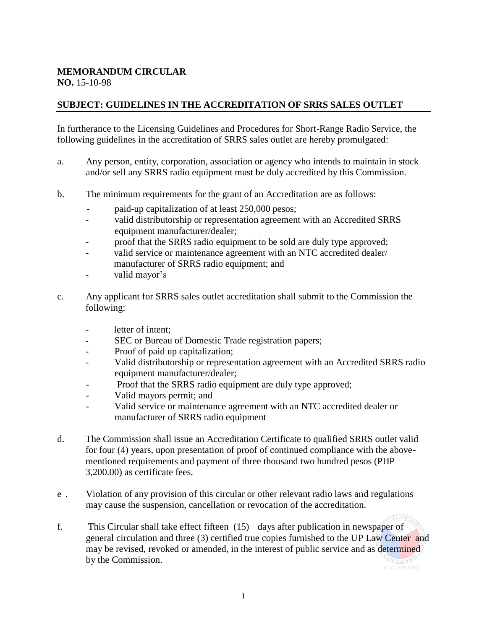## **MEMORANDUM CIRCULAR NO.** 15-10-98

## **SUBJECT: GUIDELINES IN THE ACCREDITATION OF SRRS SALES OUTLET**

In furtherance to the Licensing Guidelines and Procedures for Short-Range Radio Service, the following guidelines in the accreditation of SRRS sales outlet are hereby promulgated:

- a. Any person, entity, corporation, association or agency who intends to maintain in stock and/or sell any SRRS radio equipment must be duly accredited by this Commission.
- b. The minimum requirements for the grant of an Accreditation are as follows:
	- paid-up capitalization of at least 250,000 pesos;
	- valid distributorship or representation agreement with an Accredited SRRS equipment manufacturer/dealer;
	- proof that the SRRS radio equipment to be sold are duly type approved;
	- valid service or maintenance agreement with an NTC accredited dealer/ manufacturer of SRRS radio equipment; and
	- valid mayor's
- c. Any applicant for SRRS sales outlet accreditation shall submit to the Commission the following:
	- letter of intent;
	- SEC or Bureau of Domestic Trade registration papers;
	- Proof of paid up capitalization;
	- Valid distributorship or representation agreement with an Accredited SRRS radio equipment manufacturer/dealer;
	- Proof that the SRRS radio equipment are duly type approved;
	- Valid mayors permit; and
	- Valid service or maintenance agreement with an NTC accredited dealer or manufacturer of SRRS radio equipment
- d. The Commission shall issue an Accreditation Certificate to qualified SRRS outlet valid for four (4) years, upon presentation of proof of continued compliance with the abovementioned requirements and payment of three thousand two hundred pesos (PHP 3,200.00) as certificate fees.
- e . Violation of any provision of this circular or other relevant radio laws and regulations may cause the suspension, cancellation or revocation of the accreditation.
- f. This Circular shall take effect fifteen (15) days after publication in newspaper of general circulation and three (3) certified true copies furnished to the UP Law Center and may be revised, revoked or amended, in the interest of public service and as determined by the Commission.